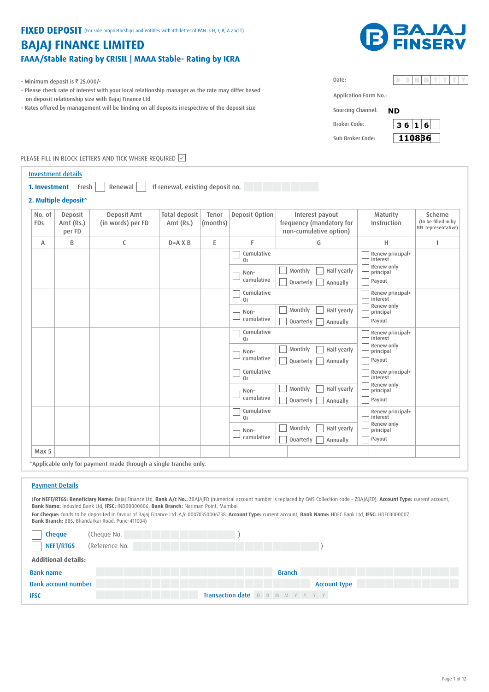## FIXED DEPOSIT (For sole proprietorships and entitles with 4th letter of PAN is H, F, B, A and T)

# **BAJAJ FINANCE LIMITED** FAAA/Stable Rating by CRISIL | MAAA Stable- Rating by ICRA



- Minimum deposit is  $\overline{\tau}$  25,000/-
- Please check rate of interest with your local relationship manager as the rate may differ based on deposit relationship size with Bajaj Finance Ltd
- Rates offered by management will be binding on all deposits irrespective of the deposit size

| Application Form No.: |  |
|-----------------------|--|

Broker Code: Sub Broker Code:

Date:

Sourcing Channel: **ND**



PLEASE FILL IN BLOCK LETTERS AND TICK WHERE REQUIRED Ø

|                      | <b>Investment details</b>        |                                                                  |                                   |                   |                                        |                                                                       |                                                                   |                                                      |
|----------------------|----------------------------------|------------------------------------------------------------------|-----------------------------------|-------------------|----------------------------------------|-----------------------------------------------------------------------|-------------------------------------------------------------------|------------------------------------------------------|
|                      | 1. Investment Fresh              | Renewal                                                          | If renewal, existing deposit no.  |                   |                                        |                                                                       |                                                                   |                                                      |
|                      | 2. Multiple deposit^             |                                                                  |                                   |                   |                                        |                                                                       |                                                                   |                                                      |
| No. of<br><b>FDs</b> | Deposit<br>Amt $(Rs.)$<br>per FD | Deposit Amt<br>(in words) per FD                                 | <b>Total deposit</b><br>Amt (Rs.) | Tenor<br>(months) | Deposit Option                         | Interest payout<br>frequency (mandatory for<br>non-cumulative option) | Maturity<br>Instruction                                           | Scheme<br>(to be filled in by<br>BFL representative) |
| A                    | B                                | C                                                                | $D = A X B$                       | E                 | F                                      | G                                                                     | н                                                                 | т                                                    |
|                      |                                  |                                                                  |                                   |                   | Cumulative<br>0r<br>Non-<br>cumulative | Monthly<br>Half yearly<br>Quarterly<br>Annually                       | Renew principal+<br>interest<br>Renew only<br>principal<br>Payout |                                                      |
|                      |                                  |                                                                  |                                   |                   | Cumulative<br>0r<br>Non-<br>cumulative | Monthly<br>Half yearly<br>Quarterly<br>Annually                       | Renew principal+<br>interest<br>Renew only<br>principal<br>Payout |                                                      |
|                      |                                  |                                                                  |                                   |                   | Cumulative<br>0r                       |                                                                       | Renew principal+<br>interest                                      |                                                      |
|                      |                                  |                                                                  |                                   |                   | Non-<br>cumulative                     | Monthly<br>Half yearly<br>Quarterly<br>Annually                       | Renew only<br>principal<br>Payout                                 |                                                      |
|                      |                                  |                                                                  |                                   |                   | Cumulative<br>0r<br>Non-               | Monthly<br>Half yearly                                                | Renew principal+<br>interest<br>Renew only<br>principal           |                                                      |
|                      |                                  |                                                                  |                                   |                   | cumulative                             | Quarterly<br>Annually                                                 | Payout                                                            |                                                      |
|                      |                                  |                                                                  |                                   |                   | Cumulative<br>0r                       |                                                                       | Renew principal+<br>interest                                      |                                                      |
|                      |                                  |                                                                  |                                   |                   | Non-<br>cumulative                     | Monthly<br>Half yearly<br>Quarterly<br>Annually                       | Renew only<br>principal<br>Payout                                 |                                                      |
| Max 5                |                                  |                                                                  |                                   |                   |                                        |                                                                       |                                                                   |                                                      |
|                      |                                  | ^Applicable only for payment made through a single tranche only. |                                   |                   |                                        |                                                                       |                                                                   |                                                      |

### Payment Details

(**For NEFT/RTGS: Beneficiary Name:** Bajaj Finance Ltd, **Bank A/c No.:** ZBAJAJFD (numerical account number is replaced by CMS Collection code – ZBAJAJFD), **Account Type:** current account, **Bank Name:** IndusInd Bank Ltd, **IFSC:** INDB0000006, **Bank Branch:** Nariman Point, Mumbai **For Cheque:** funds to be deposited in favour of Bajaj Finance Ltd. A/c 00070350006738, **Account Type:** current account, **Bank Name:** HDFC Bank Ltd, **IFSC:** HDFC0000007, **Bank Branch:** 885, Bhandarkar Road, Pune-411004)

| <b>Cheque</b>              | (Cheque No.                      |
|----------------------------|----------------------------------|
| NEFT/RTGS                  | (Reference No.                   |
| <b>Additional details:</b> |                                  |
| <b>Bank name</b>           | <b>Branch</b>                    |
| <b>Bank account number</b> | <b>Account type</b>              |
| <b>IFSC</b>                | Transaction date D D M M Y Y Y Y |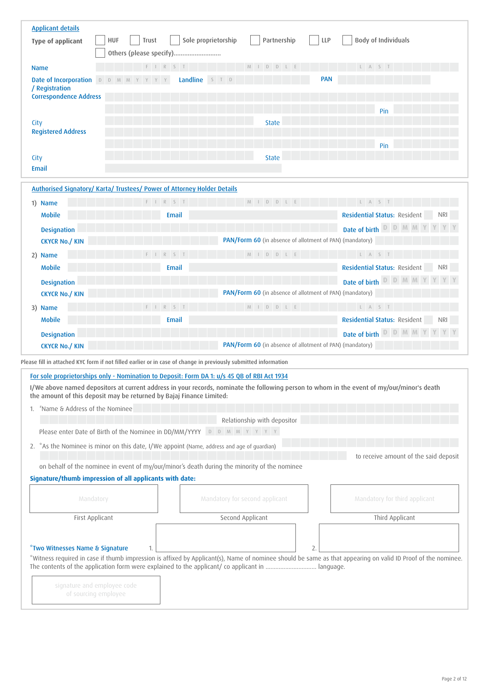| <b>Applicant details</b>                     |                                                                                                                 |                                                                                              |                                                                                                                                                              |
|----------------------------------------------|-----------------------------------------------------------------------------------------------------------------|----------------------------------------------------------------------------------------------|--------------------------------------------------------------------------------------------------------------------------------------------------------------|
| <b>Type of applicant</b>                     | <b>HUF</b><br>Trust<br>Others (please specify)                                                                  | Sole proprietorship<br>Partnership                                                           | <b>LLP</b><br><b>Body of Individuals</b>                                                                                                                     |
| <b>Name</b>                                  | $F \quad I \quad R \quad S \quad T$                                                                             | M I D D L E                                                                                  | L A S T                                                                                                                                                      |
| <b>Date of Incorporation D D M M Y Y Y Y</b> | Landline                                                                                                        | S T D                                                                                        | <b>PAN</b>                                                                                                                                                   |
| / Registration                               |                                                                                                                 |                                                                                              |                                                                                                                                                              |
| <b>Correspondence Address</b>                |                                                                                                                 |                                                                                              |                                                                                                                                                              |
|                                              |                                                                                                                 |                                                                                              | Pin                                                                                                                                                          |
| City                                         |                                                                                                                 | <b>State</b>                                                                                 |                                                                                                                                                              |
| <b>Registered Address</b>                    |                                                                                                                 |                                                                                              |                                                                                                                                                              |
|                                              |                                                                                                                 |                                                                                              | Pin                                                                                                                                                          |
| City<br>Email                                |                                                                                                                 | <b>State</b>                                                                                 |                                                                                                                                                              |
|                                              |                                                                                                                 |                                                                                              |                                                                                                                                                              |
|                                              | Authorised Signatory/ Karta/ Trustees/ Power of Attorney Holder Details                                         |                                                                                              |                                                                                                                                                              |
| 1) Name                                      | F I R S T                                                                                                       | M I D D L E                                                                                  | L A S T                                                                                                                                                      |
| <b>Mobile</b>                                | <b>Email</b>                                                                                                    |                                                                                              | <b>Residential Status: Resident</b><br><b>NRI</b>                                                                                                            |
| <b>Designation</b>                           |                                                                                                                 |                                                                                              | Date of birth D D M M                                                                                                                                        |
| <b>CKYCR No./ KIN</b>                        |                                                                                                                 | PAN/Form 60 (in absence of allotment of PAN) (mandatory)                                     |                                                                                                                                                              |
| 2) Name                                      | F I R S T                                                                                                       | M I D D L E                                                                                  | L A S T                                                                                                                                                      |
| <b>Mobile</b>                                | Email                                                                                                           |                                                                                              | Residential Status: Resident                                                                                                                                 |
| <b>Designation</b>                           |                                                                                                                 |                                                                                              | Date of birth D D M M                                                                                                                                        |
| <b>CKYCR No./ KIN</b>                        |                                                                                                                 | PAN/Form 60 (in absence of allotment of PAN) (mandatory)                                     |                                                                                                                                                              |
| 3) Name                                      | S                                                                                                               | M I D D L E                                                                                  | L A S T                                                                                                                                                      |
| <b>Mobile</b>                                | Email                                                                                                           |                                                                                              | <b>Residential Status: Resident</b><br><b>NRI</b>                                                                                                            |
| <b>Designation</b>                           |                                                                                                                 |                                                                                              | Date of birth D D M M                                                                                                                                        |
| <b>CKYCR No./ KIN</b>                        |                                                                                                                 | PAN/Form 60 (in absence of allotment of PAN) (mandatory)                                     |                                                                                                                                                              |
|                                              | Please fill in attached KYC form if not filled earlier or in case of change in previously submitted information |                                                                                              |                                                                                                                                                              |
|                                              | For sole proprietorships only - Nomination to Deposit: Form DA 1: u/s 45 QB of RBI Act 1934                     |                                                                                              |                                                                                                                                                              |
|                                              |                                                                                                                 |                                                                                              | I/We above named depositors at current address in your records, nominate the following person to whom in the event of my/our/minor's death                   |
|                                              | the amount of this deposit may be returned by Bajaj Finance Limited:                                            |                                                                                              |                                                                                                                                                              |
| "Name & Address of the Nominee<br>1.         |                                                                                                                 |                                                                                              |                                                                                                                                                              |
|                                              |                                                                                                                 | Relationship with depositor                                                                  |                                                                                                                                                              |
|                                              | Please enter Date of Birth of the Nominee in DD/MM/YYYY                                                         | D D M M Y Y Y Y                                                                              |                                                                                                                                                              |
|                                              | 2. *As the Nominee is minor on this date, I/We appoint (Name, address and age of guardian)                      |                                                                                              |                                                                                                                                                              |
|                                              |                                                                                                                 |                                                                                              | to receive amount of the said deposit                                                                                                                        |
|                                              | Signature/thumb impression of all applicants with date:                                                         | on behalf of the nominee in event of my/our/minor's death during the minority of the nominee |                                                                                                                                                              |
|                                              |                                                                                                                 |                                                                                              |                                                                                                                                                              |
| Mandatory                                    |                                                                                                                 | Mandatory for second applicant                                                               | Mandatory for third applicant                                                                                                                                |
| First Applicant                              |                                                                                                                 | Second Applicant                                                                             | Third Applicant                                                                                                                                              |
|                                              |                                                                                                                 |                                                                                              |                                                                                                                                                              |
|                                              |                                                                                                                 |                                                                                              |                                                                                                                                                              |
| *Two Witnesses Name & Signature              | 1.                                                                                                              |                                                                                              | *Witness required in case if thumb impression is affixed by Applicant(s), Name of nominee should be same as that appearing on valid ID Proof of the nominee. |
|                                              |                                                                                                                 |                                                                                              |                                                                                                                                                              |
| signature and employee code                  |                                                                                                                 |                                                                                              |                                                                                                                                                              |
| of sourcing employee                         |                                                                                                                 |                                                                                              |                                                                                                                                                              |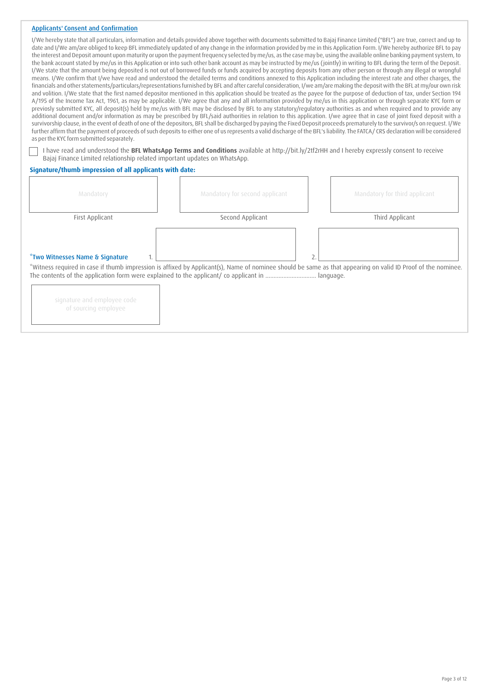## Applicants' Consent and Confirmation

| as per the KYC form submitted separately.<br>I have read and understood the BFL WhatsApp Terms and Conditions available at http://bit.ly/2tf2rHH and I hereby expressly consent to receive |                                | I/We hereby state that all particulars, information and details provided above together with documents submitted to Bajaj Finance Limited ("BFL") are true, correct and up to<br>date and I/We am/are obliged to keep BFL immediately updated of any change in the information provided by me in this Application Form. I/We hereby authorize BFL to pay<br>the interest and Deposit amount upon maturity or upon the payment frequency selected by me/us, as the case may be, using the available online banking payment system, to<br>the bank account stated by me/us in this Application or into such other bank account as may be instructed by me/us (jointly) in writing to BFL during the term of the Deposit.<br>I/We state that the amount being deposited is not out of borrowed funds or funds acquired by accepting deposits from any other person or through any illegal or wrongful<br>means. I/We confirm that I/we have read and understood the detailed terms and conditions annexed to this Application including the interest rate and other charges, the<br>financials and other statements/particulars/representations furnished by BFL and after careful consideration, I/we am/are making the deposit with the BFL at my/our own risk<br>and volition. I/We state that the first named depositor mentioned in this application should be treated as the payee for the purpose of deduction of tax, under Section 194<br>A/195 of the Income Tax Act, 1961, as may be applicable. I/We agree that any and all information provided by me/us in this application or through separate KYC form or<br>previosly submitted KYC, all deposit(s) held by me/us with BFL may be disclosed by BFL to any statutory/regulatory authorities as and when required and to provide any<br>additional document and/or information as may be prescribed by BFL/said authorities in relation to this application. I/we agree that in case of joint fixed deposit with a<br>survivorship clause, in the event of death of one of the depositors, BFL shall be discharged by paying the Fixed Deposit proceeds prematurely to the survivor/s on request. I/We<br>further affirm that the payment of proceeds of such deposits to either one of us represents a valid discharge of the BFL's liability. The FATCA/CRS declaration will be considered |
|--------------------------------------------------------------------------------------------------------------------------------------------------------------------------------------------|--------------------------------|----------------------------------------------------------------------------------------------------------------------------------------------------------------------------------------------------------------------------------------------------------------------------------------------------------------------------------------------------------------------------------------------------------------------------------------------------------------------------------------------------------------------------------------------------------------------------------------------------------------------------------------------------------------------------------------------------------------------------------------------------------------------------------------------------------------------------------------------------------------------------------------------------------------------------------------------------------------------------------------------------------------------------------------------------------------------------------------------------------------------------------------------------------------------------------------------------------------------------------------------------------------------------------------------------------------------------------------------------------------------------------------------------------------------------------------------------------------------------------------------------------------------------------------------------------------------------------------------------------------------------------------------------------------------------------------------------------------------------------------------------------------------------------------------------------------------------------------------------------------------------------------------------------------------------------------------------------------------------------------------------------------------------------------------------------------------------------------------------------------------------------------------------------------------------------------------------------------------------------------------------------------------------------------------------------------------------------------------------------|
| Bajaj Finance Limited relationship related important updates on WhatsApp.                                                                                                                  |                                |                                                                                                                                                                                                                                                                                                                                                                                                                                                                                                                                                                                                                                                                                                                                                                                                                                                                                                                                                                                                                                                                                                                                                                                                                                                                                                                                                                                                                                                                                                                                                                                                                                                                                                                                                                                                                                                                                                                                                                                                                                                                                                                                                                                                                                                                                                                                                          |
| Signature/thumb impression of all applicants with date:                                                                                                                                    |                                |                                                                                                                                                                                                                                                                                                                                                                                                                                                                                                                                                                                                                                                                                                                                                                                                                                                                                                                                                                                                                                                                                                                                                                                                                                                                                                                                                                                                                                                                                                                                                                                                                                                                                                                                                                                                                                                                                                                                                                                                                                                                                                                                                                                                                                                                                                                                                          |
| Mandatory                                                                                                                                                                                  | Mandatory for second applicant | Mandatory for third applicant                                                                                                                                                                                                                                                                                                                                                                                                                                                                                                                                                                                                                                                                                                                                                                                                                                                                                                                                                                                                                                                                                                                                                                                                                                                                                                                                                                                                                                                                                                                                                                                                                                                                                                                                                                                                                                                                                                                                                                                                                                                                                                                                                                                                                                                                                                                            |
| First Applicant                                                                                                                                                                            | Second Applicant               | Third Applicant                                                                                                                                                                                                                                                                                                                                                                                                                                                                                                                                                                                                                                                                                                                                                                                                                                                                                                                                                                                                                                                                                                                                                                                                                                                                                                                                                                                                                                                                                                                                                                                                                                                                                                                                                                                                                                                                                                                                                                                                                                                                                                                                                                                                                                                                                                                                          |

## \*Two Witnesses Name & Signature

\*Witness required in case if thumb impression is affixed by Applicant(s), Name of nominee should be same as that appearing on valid ID Proof of the nominee. The contents of the application form were explained to the applicant/ co applicant in ............................... language.

 $1. \vert$  2.

| signature and employee code |  |  |
|-----------------------------|--|--|
| of sourcing employee        |  |  |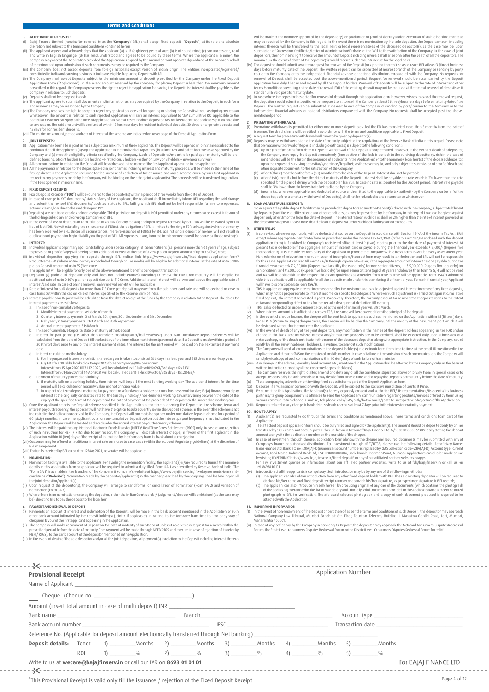- 
- 
- 
- 
- 
- 1. **ACCEPIANCES**<br>
(i) Bajaj Finance Limited (hereinalter referred to as the **'Company**/'BFL') shall accept fixed deposit (**"Deposit**") at its sole and absolute discretion and subject to the terms and conditions contained
- 

#### **2. JOINTDEPOSITS:**

- 
- (1) Application may be made in joint names subject to a maximum of three applicants. The Depositivill be opened in joint names subject to the eligibity criterial original requirest in the eligibity carrelation that all th

- 
- **3. FIXEO DEPOSIT RECEIPTS**<br>
(I) Fixed Deposit: Receipts ("FDR") will be couriered to the depositor(s) within a period of three weeks from the date of Deposit.<br>
(ii) In case of change in KY documents/ status of any of the
- 
- 

#### **4. INTEREST:**

- () Individual applicants or primary applicants falling under special category of Senior citizens (i.e. persons more than 60 years of age, subject to prototion of proceology will be eligible for additional interests at th
- 
- p.a. on Deposit amount of upto `5 (five) crore. The applicant will be eligible for only one of the above-mentioned benefits per deposit transaction
- Incompositor (s) (individual depositor only and does not include entities) intending to renew the FDR upon maturity will be eligible for<br>(III) Depositor (s) (individual depositor only and does not include entities) intendi
- additional rate of upto 0.10% p.a. for deposit size up to ₹ 5 Crore. Additional rate of interest will be over and above the applicable rate of<br>interesty/craft rate. In case of online renewal, only renewal benefit will be a
- 
- a. In case of non-cumulative Deposits:
- 1. Monthly interest payments: Last date of month
- 2. Quarterly interest payments: 31st March, 30th June, 30th September and 31st December
- 3. Half yearlyinterest payments: 31st March and 30th September 4. Annual interest payments: 31st March
- 
- b. In case of Cumulative Deposits: Date of maturity of the Deposit<br>- Interest for part period (i.e. other than complete month/quarter/half year/year) under Non-Cumulative Deposit Schemes will be<br>- calculated from the date date.
- d. Interest calculation methodology
	- 1. Forthe purpose of interest calculation, calendaryearis taken to consist of 366 days in a leap yearand 365 days in a non-leap year.
	- 2. E.g. FD of Rs. 10 lakhs booked on 15-Apr-2020 forTenor1 year@10% per annum Interest from 15-Apr-2020 till 31-12-2020, will be calculated as:10 lakhsx10%x261/366 days = Rs.71311
- Interest from 01-Jan-2021 till 14-Apr-2021 will be calculated as:10lakhsx10%x104/365 days = Rs. 28493/- e. Payment of maturity proceeds on holiday
- 1. If maturity falls on a banking holiday, then interest will be paid the next banking working day. The additional interest for the time period will be calculated on maturityvalue and not principal value 2. In respect of a term deposit maturing for payment on a Sunday or a holiday or a non-business working day, Bajaj Finance would pay
- 
- interest at the originally contacted rate for the Sunday / holiday / non-business working day, interventing between the date of payment of the proceeds of the deposit on the succeding working day,<br>(v) Once the application
- Application, within 10 (ten) days of the receipt of intimation by the Company from its bank about such rejection<br>(vii) Customer may be offered an additional interest rate on a case to case basis (within the scope of Regula
- BFL management. (viii) Forfunds received byBFL on or after12 May 2021, newrates will be applicable.

- **5. NOMINATION:**<br>(1) Nomination fa (I) Nomination facility is available to the applicants. For availing the nomination facility, the applicant(s) is/are required to furnish the nominee<br>details in this application form or applicant will be required to submit "Form DA1" is available in the branches of the Company & Company's website at https://www.bajajfinserv.in/ fixedagreements-termsand-<br>conditions ("**Website**"). Nomination made by the depositor/applicant(s) in the manner pre
- the joint depositor/applicant(s). (ii) Upon request of the depositor(s), the Company will arrange to send forms for cancellation of nomination (Form DA 2) and variation of nomination (Form DA3).<br>Where there is no nomin
- (iii) Where there is no nomination made by the depositor, either the Indian Court's order/ judgement/ decree will be obtained (as the case may be), directing BFL to pay the deposit to the legal heir.

## **6. PAYMENT AND RENEWAL OF DEPOSIT**<br>(1) Payments on account of interest and

- (I) Payments on account of interest and redemption of the Deposit, will be made in the bank account mentioned in the Application or such other bank account intimated by the deposit holder(s) (jointly, if applicationely acc
- prescribed period before the date of maturity. The payment will be made through NEFT/RTGS and cheque (in case of rejection of transfer by<br>NEFT/ RTGS), to the bank account of the depositor mentioned in the Application.
- (iii) In the event of death of the sole depositor and/or all the joint depositors, all payment(s) in relation to the Deposit including interest thereon

- will be mache to the nominoe appointed by the depositor(s) on production of proof of identity and on execution of social contents as interest there on the event there is no nomination by the sole depositor, the Deposit amo
- 

#### **7. PREMATURE WITHDRAWAL:**

- 
- () Premature withdrawal is permitted for either one or more deposite provided the FD has completed more than 3 months from the date of<br>
(II) Arequest form for permature withdrawal will have to be given by depositing the Da
- 
- 
- 

#### **8. LOAN AGAINSTPUBLIC DEPOSIT:**

"Loan against the public deposit" facility may be provided to depositors against the Deposit(s) placed with the Company, subject to fulfilment<br>by depositor(s) of the eligibility criteria and other conditions, as may be pre

### **9. OTHER TERMS**<br>(1) **Income-tax**

- Income-tax, wherever applicable, will be deducted at source on the Deposit in accordance with Section 194-A of the Income Tax Act, 1961)<br>except where appropriate Certificate/form as prescribed under the Income Tax Act, 196 application form) is furnished to Company's registered office at least 2 (two) months prior to the due date of paymeth of interest. At present tax is deductible if the aggregate amount of interest paid or payable during th will have to submit separate Form 15G/H.
- ii) TDS is applied on aggregate interest income earned by the customer and can be adjusted against interest income of any fixed deposits, which may not be proportionate to interest income on specific fixed deposit. Wherever such adjustment is carried out against cumulative fixed deposit, the interest reinvested is post 105 recovery. Therefore, the maturity a
- 
- 
- (vi) In the event of death of any of the piont depositors, any modification in the names of the deposit holders appearing on the FDR and/or change in the bank account where interest and/or matuity proceeds are to be credi
- 
- (viii) Any change in the address, email ID, bank account etc., mentioned in the Application shall be effected by the Company only on the basis of
- 
- 
- written instruction signed by all the concerned deposit holder(s).<br>The Company reserves the right to alter, amend or delete any or all the conditions stipulated above or to vary them in special cases or to<br>accept Deposits various communication channels, such as, telephone, calls/SMS/bitly/bots/emails/post etc., irrespective of rejection of this Application.<br>(xiii) Requests related to any change in bank details should reach us at least 7 day

### **10. HOW TO APPLY**<br>(1) **Applicant(s)**

- (I) Applicant(s) are requested to go through the terms and conditions as mentioned above. These terms and conditions form part of the
- 
- Application.<br>The atached deposit application form should be duly filled and signed by the applicant(s). The amount should be deposited only by online<br>transfer or by a CTS compliant account payee cheque drawn in favour of ' account, Bank Name: IndusInd Bank Ltd, IFSC: INDB0000006, Bank branch: Nariman Point, Mumbai. Applications can also be made online<br>by visiting HYPERLINK "http://www.bajajfinserv.in/fixed-deposit" or any of our affiliated p by visituity interactivic interaction about our affiliated partner websites, write to us at fd@bajajfinserv.in or call us on<br>For any investment queries or information about our affiliated partner websites, write to us at f

- +91 86980010101<br>(iv) Intoduction of all the applicants is compulsory. Such introduction may be by any one of the following methods:<br>(a) The applicant can also obtain introduction from any other fixed deposit holder with BF
	-

- 1**1. IMPORTANT INFORMATION**<br>(I) In the event of non-repayment of the Deposit or part thereof as per the terms and conditions of such Deposit, the depositor may approach<br>(I) In the event of nomeny Law Tribunal, Mumbai Bench Maharashtra 400001.
- munumanture woods.<br>(ii) In case of any deficiency by the Company in servicing its Deposit, the depositor may approach the National Consumers Disputes Redressal<br>Forum the State Level Consumers Disputes Redressal Forum or th Forum, the State Level Consumers Disputes Redressal Forum orthe District Level Consumers Disputes Redressal Forum forrelief.

 $3$ Application Number **Provisional Receipt** Name of Applicant Cheque (Cheque no. Amount (insert total amount in case of multi deposit) INR Bank name Account type Branch\_\_\_\_\_\_\_\_\_\_\_\_\_\_\_\_\_\_\_\_\_\_\_\_\_\_\_\_\_\_\_\_\_\_\_\_\_\_\_\_\_\_\_\_\_\_ Transaction date Bank account number IFSC \_\_\_\_\_\_\_\_\_\_\_\_\_\_\_\_\_\_\_\_\_\_\_\_\_\_\_\_\_\_\_\_\_\_\_ Reference No. (Applicable for deposit amount electronically transferred through Net banking) **Deposit details:** Tenor 1) \_\_\_\_\_\_\_\_\_Months 2) \_\_\_\_\_\_\_\_\_Months 3) \_\_\_\_\_\_\_\_\_Months 4) \_\_\_\_\_\_\_\_\_Months 5) \_\_\_\_\_\_\_\_\_Months ROI  $1)$   $\frac{0}{0}$ 2) \_\_\_\_\_\_\_\_\_%  $3)$   $\frac{0}{0}$  $4)$   $\frac{0}{0}$  $5)$ Write to us at **wecare@bajajfinserv.in** or call our IVR on **8698 01 01 01** For BAIAI FINANCE LTD -------------------------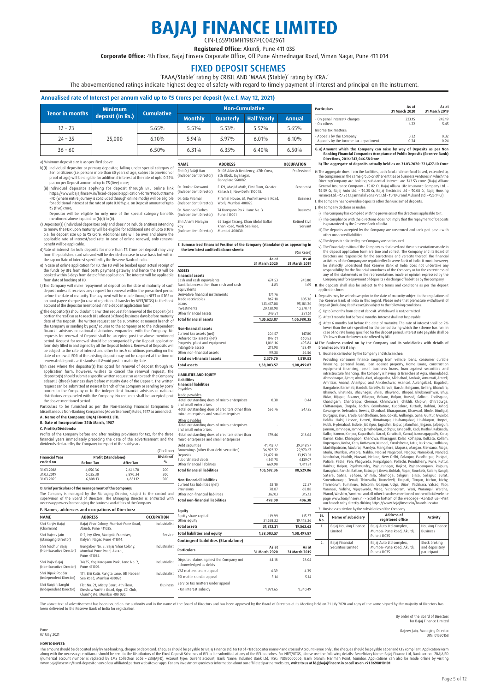# **BAJAJ FINANCE LIMITED** CIN-L65910MH1987PLC042961

Registered Office: Akurdi, Pune 411 035

Corporate Office: 4th Floor, Bajaj Finsery Corporate Office, Off Pune-Ahmednagar Road, Viman Nagar, Pune 411 014

### FIXED DEPOSIT SCHEMES

'FAAA/Stable' rating by CRISIL AND 'MAAA (Stable)' rating by ICRA.'

The abovementioned ratings indicate highest degree of safety with regard to timely payment of interest and principal on the instrument.

#### **Annualised rate of Interest per annum valid up to** `**5 Crores per deposit (w.e.f. May 12, 2021)**

|                 | <b>Minimum</b>   |                   |                |                  | <b>Non-Cumulative</b> |        |
|-----------------|------------------|-------------------|----------------|------------------|-----------------------|--------|
| Tenor in months | deposit (in Rs.) | <b>Cumulative</b> | <b>Monthly</b> | <b>Ouarterly</b> | <b>Half Yearly</b>    | Annual |
| $12 - 23$       |                  | 5.65%             | 5.51%          | 5.53%            | 5.57%                 | 5.65%  |
| $24 - 35$       | 25,000           | 6.10%             | 5.94%          | 5.97%            | 6.01%                 | 6.10%  |
| $36 - 60$       |                  | 6.50%             | 6.31%          | 6.35%            | 6.40%                 | 6.50%  |

 $(1n)$ 

Roy  $($ In

#### a) Minimum deposit size is as specified above.

- b)(I) Individual depositor or primary depositor, falling under special category of Senior citizens (i.e. persons more than 60 years of age, subject to provision of proof of age) will be eligible for additional interest at
- (ii) Individual depositor applying for deposit through BFL online link)<br>https://www.bajajinserv.in/fixed-deposit-application-form?ProductName<br>FD (where entire journey is concluded through online mode) will be eligible<br>for ₹5 (five) crore;
- Depositor will be eligible for only **one** of the special category benefits mentioned above in point no.(b)(I) to (ii). c) Depositor(s) (individual depositors only and does not include entities) intending
- to renew the FDR upon maturity will be eligible for additional rate of upto 0.10%<br>p.a. for deposit size up to ₹5 Crore. Additional rate will be over and above the<br>applicable rate of interest/card rate. In case of online re
- d)Rate of interest for bulk deposits for more than  $\overline{55}$  Crore per deposit may vary
- from the published card rate and will be decided on case to case basis but within<br>the cap on Rate of Interest specified by the Reserve Bank of India.<br>e)In case of online application for FD, the FD will be booked upon actua
- 
- from date of booking of FD.<br>
1) The Company will make repayment of deposit on the date of maturity of such<br>
deposit unless it receives any request for renewal within the prescribed period<br>
before the date of maturity. The account of the depositormentioned in the deposit application form.
- g)The depositor(s) should submit a written request for renewal of the Deposit (or a<br>portion thereof) so as to reach BFL atleast 3 (three) business days before maturity<br>date of the Deposit. The written request can be submit the Company or sending by post/ courier to the Company or to the independent<br>financial advisors or national distributors empaneled with the Company. No<br>requests for renewal of Deposit shall be accepted post the above-menti renewal of deposits as it stands null & void post its maturity date.
- h)In case where the depositor(s) has opted for renewal of deposit through FD application form, however, wishes to cancel the renewal request, the depositor(s) should submit a specific written request so as to reach the Com distributors empaneled with the Company. No requests shall be accepted post the above-mentioned period. Particulars to be furnished as per the Non-Banking Financial Companies &

Miscellaneous Non-Banking Companies (Advertisement) Rules, 1977 as amended.

#### **A. Name of the Company: BAJAJ FINANCE LTD. B. Date of Incorporation: 25th March, 1987**

#### **C. Profits/Dividends:**

Profits of the Company before and after making provisions for tax, for the three financial years immediately preceding the date of the advertisement and the dividends declared by the Company in respect of the said years.

|                       |                            |                  | (₹in Crore)     |
|-----------------------|----------------------------|------------------|-----------------|
| <b>Financial Year</b> | <b>Profit (Standalone)</b> |                  | <b>Dividend</b> |
| ended on              | <b>Before Tax</b>          | <b>After Tax</b> | 0/6             |
| 31.03.2018            | 4.056.36                   | 2.646.70         | 200             |
| 31.03.2019            | 6.035.30                   | 3.890.34         | 300             |
| 31.03.2020            | 6.808.13                   | 4.881.12         | 500             |

**D. Brief particulars of the management of the Company:**

The Company is managed by the Managing Director, subject to the control and<br>supervision of the Board of Directors. The Managing Director is entrusted with<br>necessarypowersformanaging thebusiness.and.affairs.ofthe.Company.

|  |  | E. Names, addresses and occupations of Directors: |  |
|--|--|---------------------------------------------------|--|
|  |  |                                                   |  |

| <b>NAME</b>                                   | <b>ADDRESS</b>                                                                                              | <b>OCCUPATION</b> |
|-----------------------------------------------|-------------------------------------------------------------------------------------------------------------|-------------------|
| Shri Sanjiv Bajaj<br>(Chairman)               | Bajaj Vihar Colony, Mumbai-Pune Road,<br>Akurdi, Pune 411035.                                               | Industrialist     |
| Shri Rajeev Jain<br>(Managing Director)       | D-2, Ivy Glen, Marigold Premises,<br>Kalyani Nagar, Pune 411014.                                            | Service           |
| Shri Madhur Baiai<br>(Non-Executive Director) | Bungalow No. 3. Baiai Vihar Colony.<br>Mumbai-Pune Road, Akurdi,<br>Pune 411035.                            | Industrialist     |
| Shri Rajiv Bajaj<br>(Non-Executive Director)  | 34/35, Yog Koregaon Park, Lane No. 2,<br>Pune 411001.                                                       | Industrialist     |
| Shri Dipak Poddar<br>(Independent Director)   | 171, Brij Kutir, Rungta Lane, Off Nepean<br>Sea Road, Mumbai 400026.                                        | Industrialist     |
| Shri Ranian Sanghi<br>(Independent Director)  | Flat No. 21. Mistry Court. 4th Floor.<br>Dinshaw Vachha Road, Opp. CCI Club.<br>Churchgate, Mumbai 400 020. | <b>Business</b>   |

| <b>NAME</b>                                         | <b>ADDRESS</b>                                                                     | <b>OCCUPATION</b>        |
|-----------------------------------------------------|------------------------------------------------------------------------------------|--------------------------|
| Shri D J Balaji Rao<br>(Independent Director)       | D-103 Adarsh Residency, 47th Cross,<br>8th Block, Jayanagar,<br>Bangalore 560082.  | Professional             |
| Dr. Omkar Goswami<br>(Independent Director)         | E-121, Masjid Moth, First Floor, Greater<br>Kailash 3. New Delhi 110048.           | Fronomist                |
| Dr. Gita Piramal<br>(Independent Director)          | Piramal House, 61, Pochkhanwala Road,<br>Worli, Mumbai 400025.                     | <b>Business</b>          |
| Dr. Naushad Forbes<br>(Independent Director)        | 74 Koregaon Park, Lane No. 3,<br>Pune 411001                                       | <b>Business</b>          |
| Shri Anami Narayan<br>Rov<br>(Independent Director) | 62 Sagar Tarang, Khan Abdul Gaffar<br>Khan Road, Worli Sea Face,<br>Mumbai 400030. | Retired Civil<br>Servant |

| F. Summarised Financial Position of the Company (standalone) as appearing in               |               |               |  |  |
|--------------------------------------------------------------------------------------------|---------------|---------------|--|--|
| the two latest audited balance sheets:                                                     |               | (₹in Crore)   |  |  |
|                                                                                            | As at         | As at         |  |  |
|                                                                                            | 31 March 2020 | 31 March 2019 |  |  |
| <b>ASSETS</b>                                                                              |               |               |  |  |
| <b>Financial assets</b>                                                                    |               |               |  |  |
| Cash and cash equivalents                                                                  | 674.53        | 240.00        |  |  |
| Bank balances other than cash and cash                                                     | 4.83          | 1.69          |  |  |
| equivalents                                                                                |               |               |  |  |
| Derivative financial instruments                                                           | 171.76        |               |  |  |
| Trade receivables                                                                          | 867.18        | 805.38        |  |  |
| Loans                                                                                      | 1.13.417.08   | 95.181.26     |  |  |
| Investments                                                                                | 20,138.98     | 10.370.41     |  |  |
| Other financial assets                                                                     | 349.51        | 381.61        |  |  |
| <b>Total financial assets</b>                                                              | 1,35,623.87   | 1,06,980.35   |  |  |
| <b>Non-financial assets</b>                                                                |               |               |  |  |
| Current tax assets (net)                                                                   | 204.57        | 147.80        |  |  |
| Deferred tax assets (net)                                                                  | 847.61        | 660.83        |  |  |
| Property, plant and equipment                                                              | 1.016.16      | 495.84        |  |  |
| Intangible assets                                                                          | 211.98        | 158.49        |  |  |
| Other non-financial assets                                                                 | 99.38         | 56.56         |  |  |
| <b>Total non-financial assets</b>                                                          | 2,379.70      | 1,519.52      |  |  |
| <b>Total assets</b>                                                                        | 1,38,003.57   | 1,08,499.87   |  |  |
| <b>Liabilities</b><br><b>Financial liabilities</b><br>Payables                             |               |               |  |  |
| Trade payables                                                                             |               |               |  |  |
| -Total outstanding dues of micro enterprises<br>and small enterprises                      | 0.30          | 0.44          |  |  |
| -Total outstanding dues of creditors other than<br>micro enterprises and small enterprises | 636.76        | 547.25        |  |  |
| Other payables                                                                             |               |               |  |  |
| -Total outstanding dues of micro enterprises<br>and small enterprises                      |               |               |  |  |
| -Total outstanding dues of creditors other than<br>micro enterprises and small enterprises | 179.46        | 218.64        |  |  |
| Debt securities                                                                            | 41,713.77     | 39,048.97     |  |  |
| Borrowings (other than debt securities)                                                    | 36.923.32     | 29,970.67     |  |  |
| Deposits                                                                                   | 21,427.10     | 13,193.01     |  |  |
| Subordinated debts                                                                         | 4,141.75      | 4,139.07      |  |  |
| Other financial liabilities                                                                | 669.90        | 1,411.81      |  |  |
| <b>Total financial liabilities</b>                                                         | 105,692.36    | 88,529.86     |  |  |
| <b>Non-financial liabilities</b>                                                           |               |               |  |  |
| Current tax liabilities (net)                                                              | 52.10         | 22.37         |  |  |
| Provisions                                                                                 | 78.87         | 68.88         |  |  |
| Other non-financial liabilities                                                            | 367.03        | 315.13        |  |  |
| <b>Total non-financial liabilities</b>                                                     | 498.00        | 406.38        |  |  |
|                                                                                            |               |               |  |  |

| 31 March 2020 | 31 March 2019 |
|---------------|---------------|
| 223.15        | 245.19        |
| 6.22          | 5.45          |
|               |               |
| 0.32          | 0.32          |
| 0.24          | 0.24          |
|               |               |

**As at** 

**As at** 

# G. a) Amount which the Company can raise by way of Deposits as per Non<br>Banking Financial Companies Acceptance of Public Deposits (Reserve Bank)<br>Directions, 2016: ₹43,046.58 Crore

## **b) The aggregate of deposits actually held as on 31.03.2020:** `**21,427.10 Crore**

**H.** The aggregate dues from the facilities, both fund and non-fund based, extended to, the companies in the same group or other entities or business ventures in which the Director/Company are holding substantial interest

#### **J**. The Company declares as under

- i) The Company has complied with the provisions of the directions applicable to it.
- ii) The compliance with the directions does not imply that the repayment of Deposits is guaranteed by the Reserve Bank of India.
- iii) The deposits accepted by the Company are unsecured and rank pari passu with other unsecured liabilities.
- 
- 
- iv) The deposits solicited by the Company are not insured.<br>
The Theorem Scheme and the company as disclosed and the representations made in<br>
the deposit application form are true and correct. The Company and its Board of<br>

**K**. The deposits shall also be subject to the terms and conditions as per the deposit application form.

**L**. Deposits may be withdrawn prior to the date of maturity subject to the regulations of the Reserve Bank of India in this regard. Please note that premature withdrawal of Deposit (including death cases) is subject to the following conditions:

a) Upto 3 months from date of deposit: Withdrawal is not permitted

- b) After 3 months but before 6 months: Interest shall not be payable
- c) After 6 months but before the date of maturity: The rate of interest shall be 2%<br>lower than the rate specified for the period during which the scheme has run. In<br>case of no rate being specified for the deposit period, i
- **M**.The Business carried on by the Company and its subsidiaries with details of
- 
- branches or units if any:<br>branches or units if any:<br>1. Business carried on by the Company and its branches

1. Busines carried only the Compary and its banches:<br>
Providing consumer finance ranging from vehicle loans, consumer durable financing, personal loans, loan against property, Home Loans, consumer durable financing, small

|            | 2. Business carried on by the subsidiaries of the Company: |                                                                     |                                                |  |  |  |
|------------|------------------------------------------------------------|---------------------------------------------------------------------|------------------------------------------------|--|--|--|
| Sr.<br>No. | Name of subsidiary                                         | <b>Address of</b><br>registered office                              | <b>Activity</b>                                |  |  |  |
| 1.         | Bajaj Housing Finance<br><b>Limited</b>                    | Bajaj Auto Ltd complex,<br>Mumbai-Pune Road, Akurdi,<br>Pune 411035 | Housing Finance<br><b>Business</b>             |  |  |  |
| 2.         | Bajaj Financial<br>Securities Limited                      | Bajaj Auto Ltd complex,<br>Mumbai-Pune Road, Akurdi,<br>Pune 411035 | Stock broking<br>and depository<br>participant |  |  |  |

The above text of advertisement has been issued on the authority and in the name of the Board of Directors and has been approved by the Board of Directors at its Meeting held on 21 July 2020 and copy of the same signed by

**31 March 2020 31 March 2019 Particulars**

119.99 31,693.22 **31,813.21 1,38,003.57** 

**As at** 

44.18 4.39 5.14 1,971.65

115.37 10 AAR 26 **19,563.63 1,08,499.87** 

**As at** 

28.04 4.39 5.14 1,340.49

**Equity** Equity share capital Other equity **Total assets Total liabilities and equity**

Disputed claims against the Company not acknowledged as debts VAT matters under appeal ESI matters under appeal Service tax matters under appeal - On interest subsidy

**Contingent Liabilities (Standalone)**

By order of the Board of Directors for Bajaj Finance Limited

Rajeev Jain, Managing Director DIN: 01550158

### Pune 07 May 2021 **HOWTO INVEST:**

The amount should be deposited only by net-banking, cheque or debit card. Cheques should be payable to Bajaj Finance have been to design almost and crossed 'Account Payes only. The cheques should be payable at payable at p www.bajafinserv.in/lixed-depositorany of our affiliated partner websites or appoint by encount type: current account, Bank Name: Industrial Bank Itd, IFSC: INDB0000006, Bank branch: Nariman Point, Mumbai. Applications can ww.bajajfinserv.in/fixed-deposit or any of our affiliated partner websites or apps. For any investment queries or information about our affiliated partn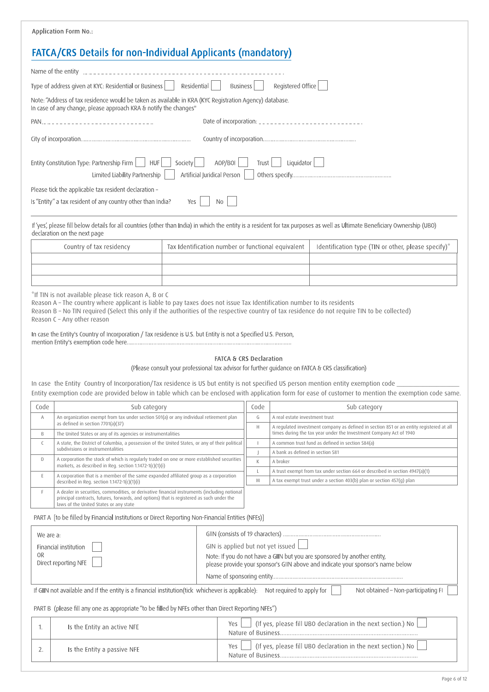|           | <b>Application Form No.:</b>                                                                                                                                                                                                                                                                                                                                                                                                                                                          |                                                    |                                    |              |                                  |                                                                                                                                                                             |  |
|-----------|---------------------------------------------------------------------------------------------------------------------------------------------------------------------------------------------------------------------------------------------------------------------------------------------------------------------------------------------------------------------------------------------------------------------------------------------------------------------------------------|----------------------------------------------------|------------------------------------|--------------|----------------------------------|-----------------------------------------------------------------------------------------------------------------------------------------------------------------------------|--|
|           | FATCA/CRS Details for non-Individual Applicants (mandatory)                                                                                                                                                                                                                                                                                                                                                                                                                           |                                                    |                                    |              |                                  |                                                                                                                                                                             |  |
|           |                                                                                                                                                                                                                                                                                                                                                                                                                                                                                       |                                                    |                                    |              |                                  |                                                                                                                                                                             |  |
|           | Type of address given at KYC: Residential or Business                                                                                                                                                                                                                                                                                                                                                                                                                                 | Residential                                        | Business                           |              | Registered Office                |                                                                                                                                                                             |  |
|           | Note: "Address of tax residence would be taken as available in KRA (KYC Registration Agency) database.<br>In case of any change, please approach KRA & notify the changes"                                                                                                                                                                                                                                                                                                            |                                                    |                                    |              |                                  |                                                                                                                                                                             |  |
|           | PAN                                                                                                                                                                                                                                                                                                                                                                                                                                                                                   |                                                    |                                    |              |                                  | Date of incorporation: _______________________________                                                                                                                      |  |
|           |                                                                                                                                                                                                                                                                                                                                                                                                                                                                                       |                                                    |                                    |              |                                  |                                                                                                                                                                             |  |
|           | Entity Constitution Type: Partnership Firm<br><b>HUF</b><br>Limited Liability Partnership                                                                                                                                                                                                                                                                                                                                                                                             | Society<br>Artificial Juridical Person             | AOP/BOI                            | Trust        | Liquidator                       |                                                                                                                                                                             |  |
|           | Please tick the applicable tax resident declaration -                                                                                                                                                                                                                                                                                                                                                                                                                                 |                                                    |                                    |              |                                  |                                                                                                                                                                             |  |
|           | Is "Entity" a tax resident of any country other than India?                                                                                                                                                                                                                                                                                                                                                                                                                           | Yes                                                | No                                 |              |                                  |                                                                                                                                                                             |  |
|           | declaration on the next page                                                                                                                                                                                                                                                                                                                                                                                                                                                          |                                                    |                                    |              |                                  | If 'yes', please fill below details for all countries (other than India) in which the entity is a resident for tax purposes as well as Ultimate Beneficiary Ownership (UBO) |  |
|           | Country of tax residency                                                                                                                                                                                                                                                                                                                                                                                                                                                              | Tax Identification number or functional equivalent |                                    |              |                                  | Identification type (TIN or other, please specify)*                                                                                                                         |  |
|           |                                                                                                                                                                                                                                                                                                                                                                                                                                                                                       |                                                    |                                    |              |                                  |                                                                                                                                                                             |  |
|           |                                                                                                                                                                                                                                                                                                                                                                                                                                                                                       |                                                    |                                    |              |                                  |                                                                                                                                                                             |  |
|           | "If TIN is not available please tick reason A, B or C<br>Reason A - The country where applicant is liable to pay taxes does not issue Tax Identification number to its residents<br>Reason B - No TIN required (Select this only if the authorities of the respective country of tax residence do not require TIN to be collected)<br>Reason C - Any other reason<br>In case the Entity's Country of Incorporation / Tax residence is U.S. but Entity is not a Specified U.S. Person, |                                                    |                                    |              |                                  |                                                                                                                                                                             |  |
|           | In case the Entity Country of Incorporation/Tax residence is US but entity is not specified US person mention entity exemption code                                                                                                                                                                                                                                                                                                                                                   |                                                    | <b>FATCA &amp; CRS Declaration</b> |              |                                  | (Please consult your professional tax advisor for further guidance on FATCA & CRS classification)                                                                           |  |
|           |                                                                                                                                                                                                                                                                                                                                                                                                                                                                                       |                                                    |                                    |              |                                  | Entity exemption code are provided below in table which can be enclosed with application form for ease of customer to mention the exemption code same.                      |  |
| Code<br>А | Sub category<br>An organization exempt from tax under section 501(a) or any individual retirement plan                                                                                                                                                                                                                                                                                                                                                                                |                                                    |                                    | Code<br>G    | A real estate investment trust   | Sub category                                                                                                                                                                |  |
|           | as defined in section 7701(a)(37)                                                                                                                                                                                                                                                                                                                                                                                                                                                     |                                                    |                                    | $\mathsf H$  |                                  | A regulated investment company as defined in section 851 or an entity registered at all                                                                                     |  |
| B<br>C    | The United States or any of its agencies or instrumentalities<br>A state, the District of Columbia, a possession of the United States, or any of their political                                                                                                                                                                                                                                                                                                                      |                                                    |                                    | $\mathbf{I}$ |                                  | times during the tax year under the Investment Company Act of 1940<br>A common trust fund as defined in section 584(a)                                                      |  |
| D         | subdivisions or instrumentalities<br>A corporation the stock of which is regularly traded on one or more established securities                                                                                                                                                                                                                                                                                                                                                       |                                                    |                                    | J            | A bank as defined in section 581 |                                                                                                                                                                             |  |
|           | markets, as described in Reg. section 1.1472-1(c)(1)(i)                                                                                                                                                                                                                                                                                                                                                                                                                               |                                                    |                                    | К<br>L       | A broker                         | A trust exempt from tax under section 664 or described in section 4947(a)(1)                                                                                                |  |
| E         | A corporation that is a member of the same expanded affiliated group as a corporation<br>described in Req. section $1.1472 - 1(c)(1)(i)$                                                                                                                                                                                                                                                                                                                                              |                                                    |                                    | M            |                                  | A tax exempt trust under a section 403(b) plan or section 457(g) plan                                                                                                       |  |
| F         | A dealer in securities, commodities, or derivative financial instruments (including notional<br>principal contracts, futures, forwards, and options) that is registered as such under the<br>laws of the United States or any state                                                                                                                                                                                                                                                   |                                                    |                                    |              |                                  |                                                                                                                                                                             |  |
|           | PART A [to be filled by Financial Institutions or Direct Reporting Non-Financial Entities (NFEs)]                                                                                                                                                                                                                                                                                                                                                                                     |                                                    |                                    |              |                                  |                                                                                                                                                                             |  |
| We are a: |                                                                                                                                                                                                                                                                                                                                                                                                                                                                                       |                                                    |                                    |              |                                  |                                                                                                                                                                             |  |
| 0R        | Financial institution                                                                                                                                                                                                                                                                                                                                                                                                                                                                 |                                                    | GIN is applied but not yet issued  |              |                                  |                                                                                                                                                                             |  |
|           | Direct reporting NFE                                                                                                                                                                                                                                                                                                                                                                                                                                                                  |                                                    |                                    |              |                                  | Note: If you do not have a GIIN but you are sponsored by another entity,<br>please provide your sponsor's GIIN above and indicate your sponsor's name below                 |  |
|           |                                                                                                                                                                                                                                                                                                                                                                                                                                                                                       |                                                    |                                    |              |                                  |                                                                                                                                                                             |  |
|           | If GIIN not available and If the entity is a financial institution(tick whichever is applicable): Not required to apply for                                                                                                                                                                                                                                                                                                                                                           |                                                    |                                    |              |                                  | Not obtained - Non-participating FI                                                                                                                                         |  |
|           | PART B (please fill any one as appropriate "to be filled by NFEs other than Direct Reporting NFEs")                                                                                                                                                                                                                                                                                                                                                                                   |                                                    |                                    |              |                                  |                                                                                                                                                                             |  |
| 1.        | Is the Entity an active NFE                                                                                                                                                                                                                                                                                                                                                                                                                                                           |                                                    | Yes                                |              |                                  | (If yes, please fill UBO declaration in the next section.) No                                                                                                               |  |
| 2.        | Is the Entity a passive NFE                                                                                                                                                                                                                                                                                                                                                                                                                                                           |                                                    | Yes                                |              |                                  | (If yes, please fill UBO declaration in the next section.) No                                                                                                               |  |
|           |                                                                                                                                                                                                                                                                                                                                                                                                                                                                                       |                                                    |                                    |              |                                  |                                                                                                                                                                             |  |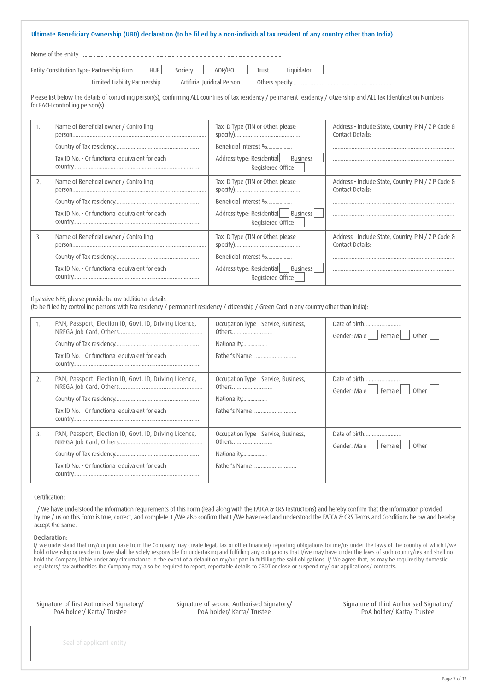| Ultimate Beneficiary Ownership (UBO) declaration (to be filled by a non-individual tax resident of any country other than India) |
|----------------------------------------------------------------------------------------------------------------------------------|
| Name of the entity decreases are not contained to the new series and the Name of the entity decreases are not                    |
| Entity Constitution Type: Partnership Firm $\Box$ HUF Society AOP/BOI Trust Liquidator $\Box$                                    |
|                                                                                                                                  |

Please list below the details of controlling person(s), confirming ALL countries of tax residency / permanent residency / citizenship and ALL Tax Identification Numbers for EACH controlling person(s):

|    | Name of Beneficial owner / Controlling         | Tax ID Type (TIN or Other, please    | Address - Include State, Country, PIN / ZIP Code & |
|----|------------------------------------------------|--------------------------------------|----------------------------------------------------|
|    |                                                |                                      | Contact Details:                                   |
|    |                                                |                                      |                                                    |
|    |                                                | Beneficial Interest %                |                                                    |
|    | Tax ID No. - Or functional equivalent for each | Address type: Residential   Business |                                                    |
|    |                                                | Registered Office                    |                                                    |
|    |                                                |                                      |                                                    |
| 2. | Name of Beneficial owner / Controlling         | Tax ID Type (TIN or Other, please    | Address - Include State, Country, PIN / ZIP Code & |
|    |                                                |                                      | Contact Details:                                   |
|    |                                                |                                      |                                                    |
|    |                                                | Beneficial Interest %                |                                                    |
|    | Tax ID No. - Or functional equivalent for each | Address type: Residential   Business |                                                    |
|    |                                                |                                      |                                                    |
|    |                                                | Registered Office                    |                                                    |
| 3. | Name of Beneficial owner / Controlling         | Tax ID Type (TIN or Other, please    | Address - Include State, Country, PIN / ZIP Code & |
|    |                                                |                                      | Contact Details:                                   |
|    |                                                |                                      |                                                    |
|    |                                                | Beneficial Interest %                |                                                    |
|    | Tax ID No. - Or functional equivalent for each | Address type: Residential   Business |                                                    |
|    |                                                |                                      |                                                    |
|    |                                                | Registered Office                    |                                                    |
|    |                                                |                                      |                                                    |

If passive NFE, please provide below additional details

(to be filled by controlling persons with tax residency / permanent residency / citizenship / Green Card in any country other than India):

|    | PAN, Passport, Election ID, Govt. ID, Driving Licence,<br>Tax ID No. - Or functional equivalent for each | Occupation Type - Service, Business,<br>Others<br>Nationality<br>Father's Name | Date of birth<br>Gender: Male     Female  <br>Other I |
|----|----------------------------------------------------------------------------------------------------------|--------------------------------------------------------------------------------|-------------------------------------------------------|
| 2. | PAN, Passport, Election ID, Govt. ID, Driving Licence,<br>Tax ID No. - Or functional equivalent for each | Occupation Type - Service, Business,<br>Others<br>Nationality<br>Father's Name | Date of birth<br>Gender: Male   Female<br>Other I     |
| 3. | PAN, Passport, Election ID, Govt. ID, Driving Licence,<br>Tax ID No. - Or functional equivalent for each | Occupation Type - Service, Business,<br>Others<br>Nationality<br>Father's Name | Date of birth<br>Gender: Male     Female  <br>Other   |

Certification:

I/We have understood the information requirements of this Form (read along with the FATCA & CRS Instructions) and hereby confirm that the information provided by me / us on this Form is true, correct, and complete. I / We also confirm that I / We have read and understood the FATCA & CRS Terms and Conditions below and hereby accept the same.

#### Declaration:

I/ we understand that my/our purchase from the Company may create legal, tax or other financial/ reporting obligations for me/us under the laws of the country of which I/we hold citizenship or reside in. I/we shall be solely responsible for undertaking and fulfilling any obligations that I/we may have under the laws of such country/ies and shall not hold the Company liable under any circumstance in the event of a default on my/our part in fulfilling the said obligations. I/ We agree that, as may be required by domestic regulators/ tax authorities the Company may also be required to report, reportable details to CBDT or close or suspend my/ our applications/ contracts.

Signature of first Authorised Signatory/ PoA holder/ Karta/ Trustee

Signature of second Authorised Signatory/ PoA holder/ Karta/ Trustee

Signature of third Authorised Signatory/ PoA holder/ Karta/ Trustee

Seal of applicant entity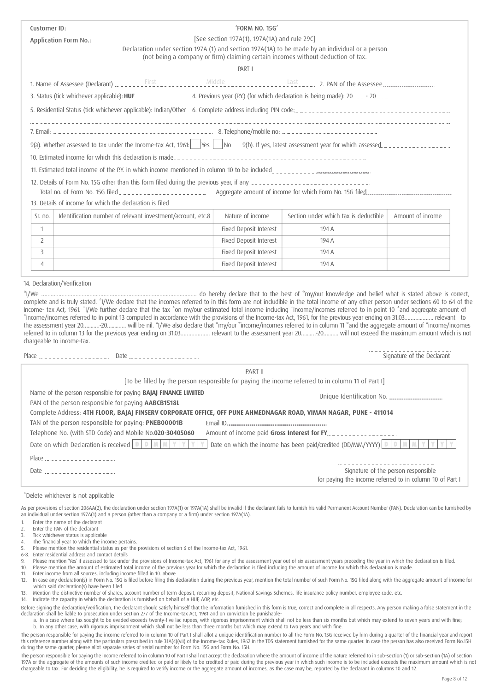| Customer ID:   |                                                             |  | 'FORM NO. 15G'                               |                                                                                                                                                                                     |                            |
|----------------|-------------------------------------------------------------|--|----------------------------------------------|-------------------------------------------------------------------------------------------------------------------------------------------------------------------------------------|----------------------------|
|                | <b>Application Form No.:</b>                                |  | [See section 197A(1), 197A(1A) and rule 29C] |                                                                                                                                                                                     |                            |
|                |                                                             |  |                                              | Declaration under section 197A (1) and section 197A(1A) to be made by an individual or a person<br>(not being a company or firm) claiming certain incomes without deduction of tax. |                            |
|                |                                                             |  | PART I                                       |                                                                                                                                                                                     |                            |
|                |                                                             |  |                                              |                                                                                                                                                                                     |                            |
|                |                                                             |  |                                              |                                                                                                                                                                                     |                            |
|                | 3. Status (tick whichever applicable): HUF                  |  |                                              | 4. Previous year (P.Y.) (for which declaration is being made): 20 <sub>---</sub> - 20 <sub>---</sub>                                                                                |                            |
|                |                                                             |  |                                              | 5. Residential Status (tick whichever applicable): Indian/Other 6. Complete address including PIN code:                                                                             |                            |
|                |                                                             |  |                                              |                                                                                                                                                                                     |                            |
|                |                                                             |  |                                              |                                                                                                                                                                                     |                            |
|                |                                                             |  |                                              | 10. Estimated income for which this declaration is made                                                                                                                             |                            |
|                |                                                             |  |                                              | 11. Estimated total income of the P.Y. in which income mentioned in column 10 to be included                                                                                        |                            |
|                |                                                             |  |                                              |                                                                                                                                                                                     |                            |
|                |                                                             |  |                                              |                                                                                                                                                                                     |                            |
|                | 13. Details of income for which the declaration is filed    |  |                                              |                                                                                                                                                                                     |                            |
| Sr. no.        | Identification number of relevant investment/account, etc.8 |  | Nature of income                             | Section under which tax is deductible                                                                                                                                               | Amount of income           |
| $\mathbf{1}$   |                                                             |  | Fixed Deposit Interest                       | 194 A                                                                                                                                                                               |                            |
| $\overline{2}$ |                                                             |  | Fixed Deposit Interest                       | 194 A                                                                                                                                                                               |                            |
| 3              |                                                             |  | <b>Fixed Deposit Interest</b>                | 194 A                                                                                                                                                                               |                            |
| $\overline{4}$ |                                                             |  | Fixed Deposit Interest                       | 194 A                                                                                                                                                                               |                            |
|                |                                                             |  |                                              |                                                                                                                                                                                     |                            |
|                | 14. Declaration/Verification                                |  |                                              |                                                                                                                                                                                     |                            |
|                |                                                             |  |                                              | complete and is truly stated. "I/We declare that the incomes referred to in this form are not includible in the total income of any other person under sections 60 to 64 of the     |                            |
|                |                                                             |  |                                              | Income- tax Act, 1961. "I/We further declare that the tax "on my/our estimated total income including "income/incomes referred to in point 10 "and aggregate amount of              |                            |
|                |                                                             |  |                                              | "income/incomes referred to in point 13 computed in accordance with the provisions of the Income-tax Act, 1961, for the previous year ending on 31.03 relevant to                   |                            |
|                |                                                             |  |                                              | the assessment year 2020 will be nil. "I/We also declare that "my/our "income/incomes referred to in column 11 "and the aggregate amount of "income/incomes                         |                            |
|                | chargeable to income-tax.                                   |  |                                              |                                                                                                                                                                                     |                            |
|                |                                                             |  |                                              |                                                                                                                                                                                     | Signature of the Declarant |
|                |                                                             |  |                                              |                                                                                                                                                                                     |                            |

| PART II                                                                                                                                                                                                                                            |
|----------------------------------------------------------------------------------------------------------------------------------------------------------------------------------------------------------------------------------------------------|
| [To be filled by the person responsible for paying the income referred to in column 11 of Part I]                                                                                                                                                  |
| Name of the person responsible for paying <b>BAJAJ FINANCE LIMITED</b><br>Unique Identification No.                                                                                                                                                |
| PAN of the person responsible for paying AABCB1518L                                                                                                                                                                                                |
| Complete Address: 4TH FLOOR, BAJAJ FINSERV CORPORATE OFFICE, OFF PUNE AHMEDNAGAR ROAD, VIMAN NAGAR, PUNE - 411014                                                                                                                                  |
| TAN of the person responsible for paying: <b>PNEB00001B</b>                                                                                                                                                                                        |
| Telephone No. (with STD Code) and Mobile No.020-30405060<br>Amount of income paid Gross Interest for FY.                                                                                                                                           |
| Date on which the income has been paid/credited (DD/MM/YYYY) $\boxed{0}$ $\boxed{0}$ $\boxed{M}$ $\boxed{M}$ $\boxed{Y}$<br>v<br>Date on which Declaration is received $\left  D \right  D \left  M \right  M \left  Y \right  Y \left  Y \right $ |
| Place                                                                                                                                                                                                                                              |
| Signature of the person responsible<br>Date $- - - - - - - - - - - - - - - - -$                                                                                                                                                                    |
| for paying the income referred to in column 10 of Part I                                                                                                                                                                                           |
|                                                                                                                                                                                                                                                    |

#### \*Delete whichever is not applicable

As per provisions of section 206AA(2), the declaration under section 197A(1) or 197A(1A) shall be invalid if the declarant fails to furnish his valid Permanent Account Number (PAN). Declaration can be furnished by an individual under section 197A(1) and a person (other than a company or a firm) under section 197A(1A).

- 1. Enter the name of the declarant
- 2. Enter the PAN of the declarant
- 3. Tick whichever status is applicable
- 4. The financial year to which the income pertains.
- 5. Please mention the residential status as per the provisions of section 6 of the Income-tax Act, 1961.
- 6-8. Enter residential address and contact details
- 9. Please mention 'Yes' if assessed to tax under the provisions of Income-tax Act, 1961 for any of the assessment year out of six assessment years preceding the year in which the declaration is filed.<br>10. Please mention th
- 10. Please mention the amount of estimated total income of the previous year for which the declaration is filed including the amount of income for which this declaration is made.<br>The star income from all sources, including
- 11. Enter income from all sources, including income filled in 10. above<br>12. In case any declaration(s) in Form No. 15G is filed before filing this In case any declaration(s) in Form No. 15G is filed before filing this declaration during the previous year, mention the total number of such Form No. 15G filed along with the aggregate amount of income for
- which said declaration(s) have been filed.
- 13. Mention the distinctive number of shares, account number of term deposit, recurring deposit, National Savings Schemes, life insurance policy number, employee code, etc.<br>14. Indicate the capacity in which the declaratio
- Indicate the capacity in which the declaration is furnished on behalf of a HUF, AOP, etc.
- Before signing the declaration/verification, the declarant should satisfy himself that the information furnished in this form is true, correct and complete in all respects. Any person making a false statement in the declaration shall be liable to prosecution under section 277 of the Income-tax Act, 1961 and on conviction be punishable
	- a. In a case where tax sought to be evaded exceeds twenty-five lac rupees, with rigorous imprisonment which shall not be less than six months but which may extend to seven years and with fine; b. In any other case, with rigorous imprisonment which shall not be less than three months but which may extend to two years and with fine.
- The person responsible for paying the income referred to in column 10 of Part I shall allot a unique identification number to all the Form No. 15G received by him during a quarter of the financial year and report this reference number along with the particulars prescribed in rule 31A(4)(vii) of the Income-tax Rules, 1962 in the TDS statement furnished for the same quarter. In case the person has also received Form No.15H during the same quarter, please allot separate series of serial number for Form No. 15G and Form No. 15H.
- The person responsible for paying the income referred to in column 10 of Part I shall not accept the declaration where the amount of income of the nature referred to in sub-section (1) or sub-section (1A) of section 197A or the aggregate of the amounts of such income credited or paid or likely to be credited or paid during the previous year in which such income is to be included exceeds the maximum amount which is not chargeable to tax. For deciding the eligibility, he is required to verify income or the aggregate amount of incomes, as the case may be, reported by the declarant in columns 10 and 12.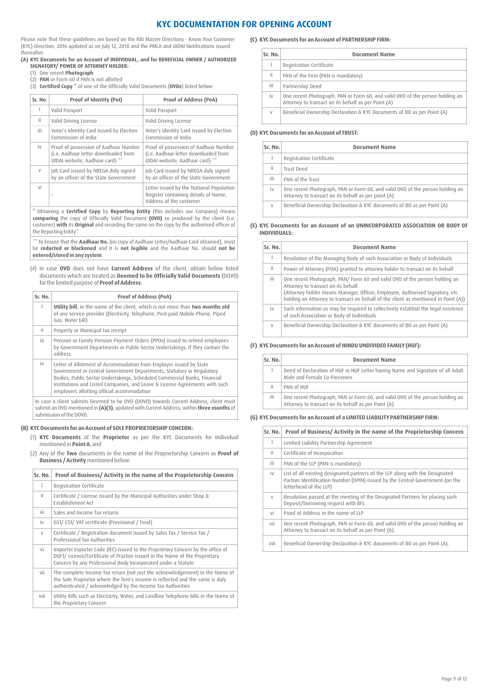## **KYC DOCUMENTATION FOR OPENING ACCOUNT**

Please note that these guidelines are based on the RBI Master Directions - Know Your Customer (KYC) Direction, 2016 updated as on July 12, 2018 and the PMLA and UIDAI Notifications issued thereafter.

#### **(A) KYC Documents for an Account of INDIVIDUAL, and for BENEFICIAL OWNER / AUTHORIZED SIGNATORY/ POWER OF ATTORNEY HOLDER:**

- (1) One recent **Photograph**
- (2) **PAN** or Form 60 if PAN is not allotted

(3) **Certified Copy \*** of one of the Officially Valid Documents (**OVDs**) listed below:

| Sr. No. | Proof of Identity (PoI)                                                                                          | <b>Proof of Address (PoA)</b>                                                                                    |
|---------|------------------------------------------------------------------------------------------------------------------|------------------------------------------------------------------------------------------------------------------|
|         | Valid Passport                                                                                                   | Valid Passport                                                                                                   |
| ii.     | Valid Driving License                                                                                            | Valid Driving License                                                                                            |
| iii     | Voter's Identity Card issued by Election<br>Commission of India                                                  | Voter's Identity Card issued by Election<br>Commission of India                                                  |
| iv      | Proof of possession of Aadhaar Number<br>(i.e. Aadhaar letter downloaded from<br>UIDAI website, Aadhaar card) ** | Proof of possession of Aadhaar Number<br>(i.e. Aadhaar letter downloaded from<br>UIDAI website, Aadhaar card) ** |
| $\vee$  | Job Card issued by NREGA duly signed<br>by an officer of the State Government                                    | Job Card issued by NREGA duly signed<br>by an officer of the State Government                                    |
| vi      |                                                                                                                  | Letter issued by the National Population<br>Register containing details of Name,<br>Address of the customer      |
| .       |                                                                                                                  |                                                                                                                  |

Obtaining a **Certified Copy** by Reporting Entity (this includes our Company) means **comparing** the copy of Officially Valid Document **(OVD)** so produced by the client (i.e. customer) **with** its **Original** and recording the same on the copy by the authorised officer of the Reporting Entity"

\*\* To Ensure that the **Aadhaar No.** (on copy of Aadhaar Letter/Aadhaar Card obtained), must be **redacted or blackened** and it is **not legible** and the Aadhaar No. should **not be entered/stored in any system**.

(4) In case **OVD** does not have **Current Address** of the client, obtain below listed documents which are treated as **Deemed to be Officially Valid Documents** (DOVD) forthe limited purpose of **Proof of Address**:

| Sr. No. | <b>Proof of Address (PoA)</b>                                                                                                                                                                                                                                                                                                                         |
|---------|-------------------------------------------------------------------------------------------------------------------------------------------------------------------------------------------------------------------------------------------------------------------------------------------------------------------------------------------------------|
|         | Utility bill, in the name of the client, which is not more than two months old<br>of any service provider (Electricity, Telephone, Post-paid Mobile Phone, Piped<br>Gas. Water bill)                                                                                                                                                                  |
| ii.     | Property or Municipal tax receipt                                                                                                                                                                                                                                                                                                                     |
| iii.    | Pension or Family Pension Payment Orders (PPOs) issued to retired employees<br>by Government Departments or Public-Sector Undertakings, if they contain the<br>address                                                                                                                                                                                |
| iv      | Letter of Allotment of Accommodation from Employer issued by State<br>Government or Central Government Departments, Statutory or Regulatory<br>Bodies, Public Sector Undertakings, Scheduled Commercial Banks, Financial<br>Institutions and Listed Companies, and Leave & License Agreements with such<br>employers allotting official accommodation |
|         | In case a client submits Deemed to be OVD (DOVD) towards Current Address, client must                                                                                                                                                                                                                                                                 |

In case a client submits Deemed to be OVD (DOVD) towards Current Address, client must submit an OVD mentioned in **(A)(3)**, updated with Current Address, within **three months** of submission of the DOVD.

### **(B) KYC Documents foran Account of SOLE PROPRIETORSHIP CONCERN:**

- (1) **KYC Documents** of the **Proprietor** as per the KYC Documents for Individual mentioned in **Point A**, and
- (2) Any of the **Two** documents in the name of the Proprietorship Concern as **Proof of Business / Activity** mentioned below:

| Sr. No. | Proof of Business/ Activity in the name of the Proprietorship Concern                                                                                                                                                           |
|---------|---------------------------------------------------------------------------------------------------------------------------------------------------------------------------------------------------------------------------------|
| I.      | Registration Certificate                                                                                                                                                                                                        |
| ii.     | Certificate / License issued by the Municipal Authorities under Shop &<br><b>Establishment Act</b>                                                                                                                              |
| iii.    | Sales and Income Tax returns                                                                                                                                                                                                    |
| iv      | GST/ CST/ VAT certificate (Provisional / Final)                                                                                                                                                                                 |
| $\vee$  | Certificate / Registration document issued by Sales Tax / Service Tax /<br>Professional Tax Authorities                                                                                                                         |
| vi      | Importer Exporter Code (IEC) issued to the Proprietary Concern by the office of<br>DGFT/ Licence/Certificate of Practice issued in the Name of the Proprietary<br>Concern by any Professional Body Incorporated under a Statute |
| vii     | The complete Income Tax return (not just the acknowledgement) in the Name of<br>the Sole Proprietor where the firm's income is reflected and the same is duly<br>authenticated / acknowledged by the Income Tax Authorities     |
| viii    | Utility Bills such as Electricity, Water, and Landline Telephone bills in the Name of<br>the Proprietary Concern                                                                                                                |

#### **(C) KYC Documents foran Account of PARTNERSHIP FIRM:**

| Sr. No. | <b>Document Name</b>                                                                                                                 |
|---------|--------------------------------------------------------------------------------------------------------------------------------------|
|         | Registration Certificate                                                                                                             |
| ii      | PAN of the Firm (PAN is mandatory)                                                                                                   |
| iii     | Partnership Deed                                                                                                                     |
| İV      | One recent Photograph, PAN or Form 60, and valid OVD of the person holding an<br>Attorney to transact on its behalf as per Point (A) |
| V       | Beneficial Ownership Declaration & KYC Documents of BO as per Point (A)                                                              |

#### **(D) KYC Documents foran Account of TRUST:**

| Sr. No. | <b>Document Name</b>                                                                                                                  |
|---------|---------------------------------------------------------------------------------------------------------------------------------------|
|         | Registration Certificate                                                                                                              |
| ii      | Trust Deed                                                                                                                            |
| iii     | PAN of the Trust                                                                                                                      |
| iv      | One recent Photograph, PAN or Form 60, and valid OVD of the person holding an<br>Attorney to transact on its behalf as per point (A). |
| V       | Beneficial Ownership Declaration & KYC documents of BO as per Point (A)                                                               |

#### **(E) KYC Documents for an Account of an UNINCORPORATED ASSOCIATION OR BODY OF INDIVIDUALS:**

| Sr. No. | <b>Document Name</b>                                                                                                                                                                                                                                                                    |
|---------|-----------------------------------------------------------------------------------------------------------------------------------------------------------------------------------------------------------------------------------------------------------------------------------------|
|         | Resolution of the Managing Body of such Association or Body of Individuals                                                                                                                                                                                                              |
| ii.     | Power of Attorney (POA) granted to attorney holder to transact on its behalf                                                                                                                                                                                                            |
| iii.    | One recent Photograph, PAN/Form 60 and valid OVD of the person holding an<br>Attorney to transact on its behalf.<br>(Attorney holder means Manager, Officer, Employee, Authorised Signatory, etc.<br>holding an Attorney to transact on behalf of the client as mentioned in Point (A)) |
| iv      | Such information as may be required to collectively establish the legal existence<br>of such Association or Body of Individuals                                                                                                                                                         |
| V       | Beneficial Ownership Declaration & KYC documents of BO as per Point (A)                                                                                                                                                                                                                 |

#### **(F) KYC Documents foran Account of HINDU UNDIVIDED FAMILY(HUF):**

| Sr. No. | <b>Document Name</b>                                                                                                                  |  |  |
|---------|---------------------------------------------------------------------------------------------------------------------------------------|--|--|
|         | Deed of Declaration of HUF or HUF Letter having Name and Signature of all Adult<br>Male and Female Co-Parceners                       |  |  |
| ïi      | PAN of HUF                                                                                                                            |  |  |
| iii     | One recent Photograph, PAN or Form 60, and valid OVD of the person holding an<br>Attorney to transact on its behalf as per Point (A). |  |  |

#### **(G) KYC Documents foran Account of a LIMITED LIABILITYPARTNERSHIP FIRM:**

| Sr. No. | Proof of Business/ Activity in the name of the Proprietorship Concern                                                                                                                    |
|---------|------------------------------------------------------------------------------------------------------------------------------------------------------------------------------------------|
| T       | Limited Liability Partnership Agreement                                                                                                                                                  |
| ii      | Certificate of Incorporation                                                                                                                                                             |
| iii.    | PAN of the LLP (PAN is mandatory)                                                                                                                                                        |
| iv      | List of all existing designated partners of the LLP along with the Designated<br>Partner Identification Number (DPIN) issued by the Central Government (on the<br>letterhead of the LLP) |
| $\vee$  | Resolution passed at the meeting of the Designated Partners for placing such<br>Deposit/borrowing request with BFL.                                                                      |
| vi      | Proof of Address in the name of LLP                                                                                                                                                      |
| vii     | One recent Photograph, PAN or Form 60, and valid OVD of the person holding an<br>Attorney to transact on its behalf as per Point (A).                                                    |
| viii    | Beneficial Ownership Declaration & KYC documents of BO as per Point (A).                                                                                                                 |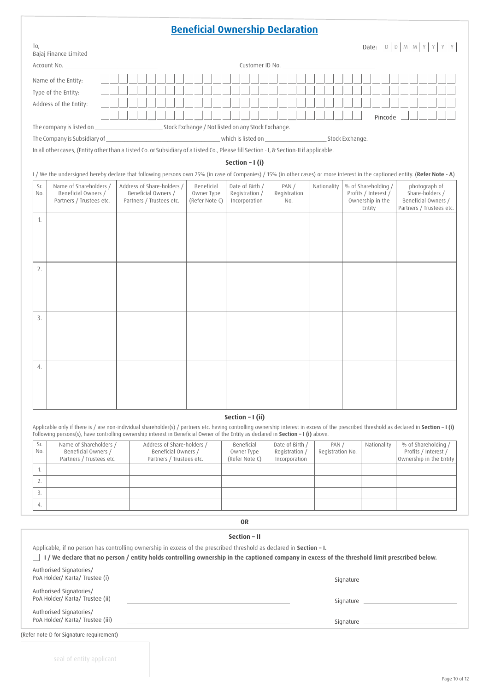# **Beneficial Ownership Declaration**

| To,<br>Bajaj Finance Limited                                                                                                                                                  |                                                                               |                                            |                                                    |                              |             |                                                                           | Date: $D   D   M   M   Y   Y$                                                       |
|-------------------------------------------------------------------------------------------------------------------------------------------------------------------------------|-------------------------------------------------------------------------------|--------------------------------------------|----------------------------------------------------|------------------------------|-------------|---------------------------------------------------------------------------|-------------------------------------------------------------------------------------|
|                                                                                                                                                                               |                                                                               |                                            |                                                    | Customer ID No.              |             |                                                                           |                                                                                     |
| Name of the Entity:                                                                                                                                                           |                                                                               |                                            |                                                    |                              |             |                                                                           |                                                                                     |
| Type of the Entity:                                                                                                                                                           |                                                                               |                                            |                                                    |                              |             |                                                                           |                                                                                     |
| Address of the Entity:                                                                                                                                                        |                                                                               |                                            |                                                    |                              |             |                                                                           |                                                                                     |
|                                                                                                                                                                               |                                                                               |                                            |                                                    |                              |             | Pincode                                                                   |                                                                                     |
|                                                                                                                                                                               |                                                                               |                                            |                                                    |                              |             |                                                                           |                                                                                     |
| The Company is Subsidiary of                                                                                                                                                  |                                                                               |                                            |                                                    |                              |             |                                                                           |                                                                                     |
| In all other cases, (Entity other than a Listed Co. or Subsidiary of a Listed Co., Please fill Section - I, & Section-II if applicable.                                       |                                                                               |                                            |                                                    |                              |             |                                                                           |                                                                                     |
|                                                                                                                                                                               |                                                                               |                                            | Section - $I(i)$                                   |                              |             |                                                                           |                                                                                     |
| I / We the undersigned hereby declare that following persons own 25% (in case of Companies) / 15% (in other cases) or more interest in the captioned entity. (Refer Note - A) |                                                                               |                                            |                                                    |                              |             |                                                                           |                                                                                     |
| Name of Shareholders /<br>Sr.<br>Beneficial Owners /<br>No.<br>Partners / Trustees etc.                                                                                       | Address of Share-holders /<br>Beneficial Owners /<br>Partners / Trustees etc. | Beneficial<br>Owner Type<br>(Refer Note C) | Date of Birth /<br>Registration /<br>Incorporation | PAN /<br>Registration<br>No. | Nationality | % of Shareholding /<br>Profits / Interest /<br>Ownership in the<br>Entity | photograph of<br>Share-holders /<br>Beneficial Owners /<br>Partners / Trustees etc. |
| 1.                                                                                                                                                                            |                                                                               |                                            |                                                    |                              |             |                                                                           |                                                                                     |
| 2.                                                                                                                                                                            |                                                                               |                                            |                                                    |                              |             |                                                                           |                                                                                     |

### **Section – I (ii)**

3.

4.

seal of entity applicant

Applicable only if there is / are non-individual shareholder(s) / partners etc. having controlling ownership interest in excess of the prescribed threshold as declared in **Section – I (i)** Following persons(s), have controlling ownership interest in Beneficial Owner of the Entity as declared in **Section – I (i)** above.

| Sr.<br>No. | Name of Shareholders /<br>Beneficial Owners /<br>Partners / Trustees etc. | Address of Share-holders /<br>Beneficial Owners /<br>Partners / Trustees etc. | Beneficial<br>Owner Type<br>(Refer Note C) | Date of Birth /<br>Registration /<br>Incorporation | PAN /<br>Registration No. | Nationality | % of Shareholding /<br>Profits / Interest /<br>Ownership in the Entity |
|------------|---------------------------------------------------------------------------|-------------------------------------------------------------------------------|--------------------------------------------|----------------------------------------------------|---------------------------|-------------|------------------------------------------------------------------------|
|            |                                                                           |                                                                               |                                            |                                                    |                           |             |                                                                        |
|            |                                                                           |                                                                               |                                            |                                                    |                           |             |                                                                        |
|            |                                                                           |                                                                               |                                            |                                                    |                           |             |                                                                        |
|            |                                                                           |                                                                               |                                            |                                                    |                           |             |                                                                        |

**OR**

|                                                             | Section - II                                                                                                                                   |
|-------------------------------------------------------------|------------------------------------------------------------------------------------------------------------------------------------------------|
|                                                             | Applicable, if no person has controlling ownership in excess of the prescribed threshold as declared in Section $-1$ .                         |
|                                                             | I / We declare that no person / entity holds controlling ownership in the captioned company in excess of the threshold limit prescribed below. |
| Authorised Signatories/<br>PoA Holder/ Karta/ Trustee (i)   |                                                                                                                                                |
| Authorised Signatories/<br>PoA Holder/ Karta/ Trustee (ii)  | <u> 1989 - Andrea Stadt, amerikansk politik (</u>                                                                                              |
| Authorised Signatories/<br>PoA Holder/ Karta/ Trustee (iii) |                                                                                                                                                |
| (Refer note D for Signature requirement)                    |                                                                                                                                                |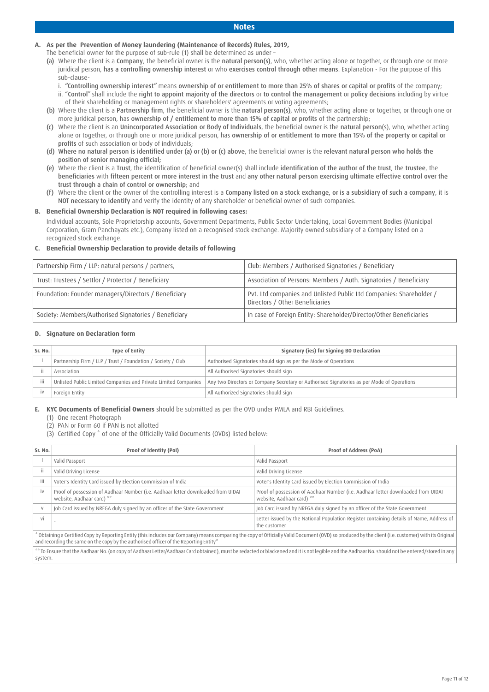#### **Notes**

### **A. As per the Prevention of Money laundering (Maintenance of Records) Rules, 2019,**

- The beneficial owner for the purpose of sub-rule (1) shall be determined as under –
- (a) Where the client is a Company, the beneficial owner is the natural person(s), who, whether acting alone or together, or through one or more juridical person, has a controlling ownership interest or who exercises control through other means. Explanation - For the purpose of this sub-clause
	- i. "Controlling ownership interest" means ownership of or entitlement to more than 25% of shares or capital or profits of the company; ii. "Control" shall include the right to appoint majority of the directors or to control the management or policy decisions including by virtue
- of their shareholding or management rights or shareholders' agreements or voting agreements; (b) Where the client is a Partnership firm, the beneficial owner is the natural person(s), who, whether acting alone or together, or through one or more juridical person, has ownership of / entitlement to more than 15% of capital or profits of the partnership;
- (c) Where the client is an Unincorporated Association or Body of Individuals, the beneficial owner is the natural person(s), who, whether acting alone or together, or through one or more juridical person, has ownership of or entitlement to more than 15% of the property or capital or profits of such association or body of individuals;
- (d) Where no natural person is identified under (a) or (b) or (c) above, the beneficial owner is the relevant natural person who holds the position of senior managing official;
- (e) Where the client is a Trust, the identification of beneficial owner(s) shall include identification of the author of the trust, the trustee, the beneficiaries with fifteen percent or more interest in the trust and any other natural person exercising ultimate effective control over the trust through a chain of control or ownership; and
- (f) Where the client or the owner of the controlling interest is a Company listed on a stock exchange, or is a subsidiary of such a company, it is NOT necessary to identify and verify the identity of any shareholder or beneficial owner of such companies.

### **B. Beneficial Ownership Declaration is NOT required in following cases:**

Individual accounts, Sole Proprietorship accounts, Government Departments, Public Sector Undertaking, Local Government Bodies (Municipal Corporation, Gram Panchayats etc.), Company listed on a recognised stock exchange. Majority owned subsidiary of a Company listed on a recognized stock exchange.

### **C. Beneficial Ownership Declaration to provide details of following**

| Partnership Firm / LLP: natural persons / partners,   | Club: Members / Authorised Signatories / Beneficiary                                                   |
|-------------------------------------------------------|--------------------------------------------------------------------------------------------------------|
| Trust: Trustees / Settlor / Protector / Beneficiary   | Association of Persons: Members / Auth. Signatories / Beneficiary                                      |
| Foundation: Founder managers/Directors / Beneficiary  | Pvt. Ltd companies and Unlisted Public Ltd Companies: Shareholder /<br>Directors / Other Beneficiaries |
| Society: Members/Authorised Signatories / Beneficiary | In case of Foreign Entity: Shareholder/Director/Other Beneficiaries                                    |

### **D. Signature on Declaration form**

| Sr. No. | <b>Type of Entity</b>                                           | Signatory (ies) for Signing BO Declaration                                                 |
|---------|-----------------------------------------------------------------|--------------------------------------------------------------------------------------------|
|         | Partnership Firm / LLP / Trust / Foundation / Society / Club    | Authorised Signatories should sign as per the Mode of Operations                           |
|         | Association                                                     | All Authorised Signatories should sign                                                     |
| iii     | Unlisted Public Limited Companies and Private Limited Companies | Any two Directors or Company Secretary or Authorised Signatories as per Mode of Operations |
|         | Foreign Entity                                                  | All Authorized Signatories should sign                                                     |

**E. KYC Documents of Beneficial Owners** should be submitted as per the OVD under PMLA and RBI Guidelines.

(1) One recent Photograph

(2) PAN or Form 60 if PAN is not allotted

(3) Certified Copy \* of one of the Officially Valid Documents (OVDs) listed below:

| Sr. No.                                                                                                                                                                                                                                                                                       | Proof of Identity (PoI)                                                                                                                                                                          | <b>Proof of Address (PoA)</b>                                                                                 |  |  |
|-----------------------------------------------------------------------------------------------------------------------------------------------------------------------------------------------------------------------------------------------------------------------------------------------|--------------------------------------------------------------------------------------------------------------------------------------------------------------------------------------------------|---------------------------------------------------------------------------------------------------------------|--|--|
|                                                                                                                                                                                                                                                                                               | Valid Passport                                                                                                                                                                                   | Valid Passport                                                                                                |  |  |
|                                                                                                                                                                                                                                                                                               | Valid Driving License                                                                                                                                                                            | Valid Driving License                                                                                         |  |  |
| iii                                                                                                                                                                                                                                                                                           | Voter's Identity Card issued by Election Commission of India                                                                                                                                     | Voter's Identity Card issued by Election Commission of India                                                  |  |  |
| <b>iv</b>                                                                                                                                                                                                                                                                                     | Proof of possession of Aadhaar Number (i.e. Aadhaar letter downloaded from UIDAI<br>website, Aadhaar card) **                                                                                    | Proof of possession of Aadhaar Number (i.e. Aadhaar letter downloaded from UIDAI<br>website, Aadhaar card) ** |  |  |
|                                                                                                                                                                                                                                                                                               | Job Card issued by NREGA duly signed by an officer of the State Government                                                                                                                       | Job Card issued by NREGA duly signed by an officer of the State Government                                    |  |  |
| vi                                                                                                                                                                                                                                                                                            |                                                                                                                                                                                                  | Letter issued by the National Population Register containing details of Name, Address of<br>the customer      |  |  |
| * Obtaining a Certified Copy by Reporting Entity (this includes our Company) means comparing the copy of Officially Valid Document (OVD) so produced by the client (i.e. customer) with its Original<br>and recording the same on the copy by the authorised officer of the Reporting Entity" |                                                                                                                                                                                                  |                                                                                                               |  |  |
|                                                                                                                                                                                                                                                                                               | ** To Ensure that the Aadhaar No. (on copy of Aadhaar Letter/Aadhaar Card obtained), must be redacted or blackened and it is not legible and the Aadhaar No. should not be entered/stored in any |                                                                                                               |  |  |

\*\* To Ensure that the AadhaarNo. (on copy of Aadhaar Letter/Aadhaar Card obtained), must be redacted or blackened and it is not legible and the AadhaarNo. should not be entered/stored in any system.